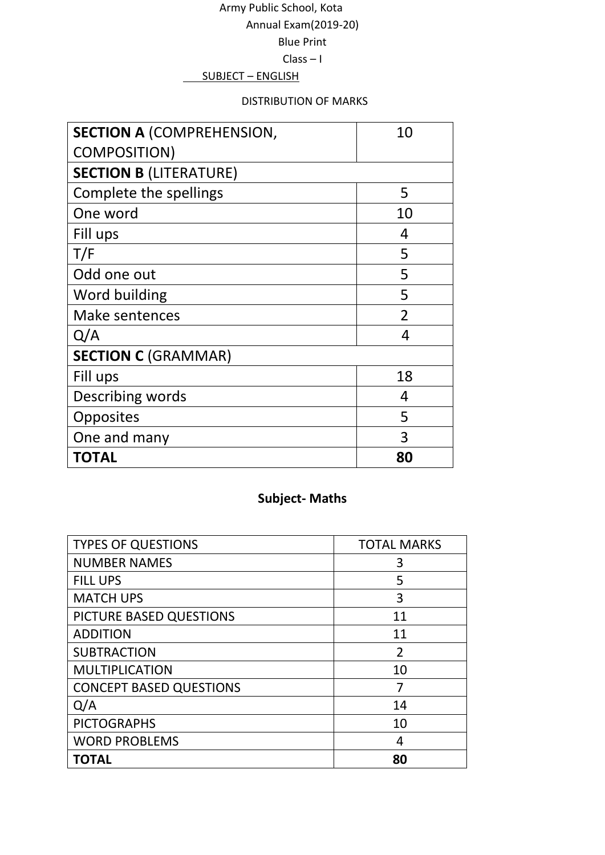## Army Public School, Kota Annual Exam(2019-20) Blue Print

#### Class – I

#### SUBJECT – ENGLISH

#### DISTRIBUTION OF MARKS

| <b>SECTION A (COMPREHENSION,</b> | 10             |
|----------------------------------|----------------|
| <b>COMPOSITION)</b>              |                |
| <b>SECTION B (LITERATURE)</b>    |                |
| Complete the spellings           | 5              |
| One word                         | 10             |
| Fill ups                         | 4              |
| T/F                              | 5              |
| Odd one out                      | 5              |
| Word building                    | 5              |
| <b>Make sentences</b>            | $\mathfrak{D}$ |
| Q/A                              | 4              |
| <b>SECTION C (GRAMMAR)</b>       |                |
| Fill ups                         | 18             |
| Describing words                 | 4              |
| Opposites                        | 5              |
| One and many                     | 3              |
| <b>TOTAL</b>                     | 80             |

# **Subject- Maths**

| <b>TYPES OF QUESTIONS</b>      | <b>TOTAL MARKS</b> |
|--------------------------------|--------------------|
| <b>NUMBER NAMES</b>            | 3                  |
| <b>FILL UPS</b>                | 5                  |
| <b>MATCH UPS</b>               | 3                  |
| PICTURE BASED QUESTIONS        | 11                 |
| <b>ADDITION</b>                | 11                 |
| <b>SUBTRACTION</b>             | $\overline{2}$     |
| <b>MULTIPLICATION</b>          | 10                 |
| <b>CONCEPT BASED QUESTIONS</b> | 7                  |
| Q/A                            | 14                 |
| <b>PICTOGRAPHS</b>             | 10                 |
| <b>WORD PROBLEMS</b>           | 4                  |
| <b>TOTAL</b>                   | 80                 |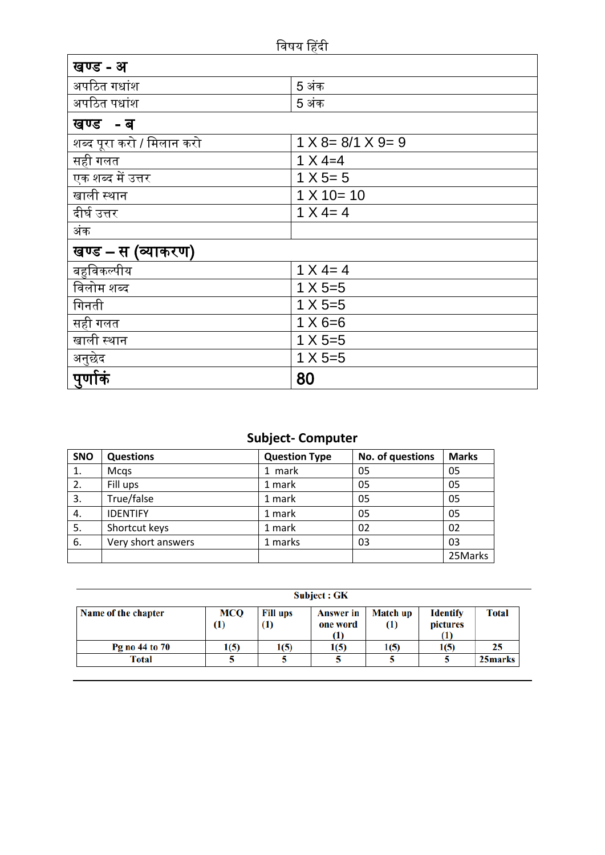| खण्ड - अ                  |                                 |
|---------------------------|---------------------------------|
| अपठित गधांश               | 5 अंक                           |
| अपठित पधांश               | 5 अंक                           |
| खण्ड -ब                   |                                 |
| शब्द पूरा करो / मिलान करो | $1 \times 8 = 8/1 \times 9 = 9$ |
| सही गलत                   | $1 \times 4 = 4$                |
| एक शब्द में उत्तर         | $1 X 5 = 5$                     |
| खाली स्थान                | $1 X 10 = 10$                   |
| <u>द</u> ीर्घ उत्तर       | $1 X 4 = 4$                     |
| अंक                       |                                 |
| खण्ड – स (व्याकरण)        |                                 |
| बहुविकल्पीय               | $1 X 4 = 4$                     |
| विलोम शब्द                | $1 \times 5 = 5$                |
| गिनती                     | $1 X 5 = 5$                     |
| सही गलत                   | $1 \times 6 = 6$                |
| खाली स्थान                | $1 X 5 = 5$                     |
| <u>अनु</u> छेद            | $1 X 5 = 5$                     |
| पुर्णाकं                  | 80                              |

## **Subject- Computer**

| <b>SNO</b> | <b>Questions</b>     | <b>Question Type</b> | No. of questions | <b>Marks</b> |
|------------|----------------------|----------------------|------------------|--------------|
| 1.         | Mcgs                 | 1 mark               | 05               | 05           |
| 2.         | Fill ups             | 1 mark               | 05               | 05           |
| 3.         | True/false<br>1 mark |                      | 05               | 05           |
| 4.         | <b>IDENTIFY</b>      | 1 mark               | 05               | 05           |
| 5.         | Shortcut keys        | 1 mark               | 02               | 02           |
| 6.         | Very short answers   | 1 marks              | 03               | 03           |
|            |                      |                      |                  | 25Marks      |

Subject : GK

| Name of the chapter | MCQ<br>(1) | <b>Fill ups</b><br>(1) | <b>Answer in</b><br>one word<br>11) | <b>Match up</b><br>$\rm(1)$ | <b>Identify</b><br>pictures<br>$\bf{(1)}$ | Total   |
|---------------------|------------|------------------------|-------------------------------------|-----------------------------|-------------------------------------------|---------|
| Pg no 44 to 70      | 1(5)       | 1(5)                   | 1(5)                                | 1(5)                        | 1(5)                                      | 25      |
| Total               |            |                        |                                     |                             |                                           | 25marks |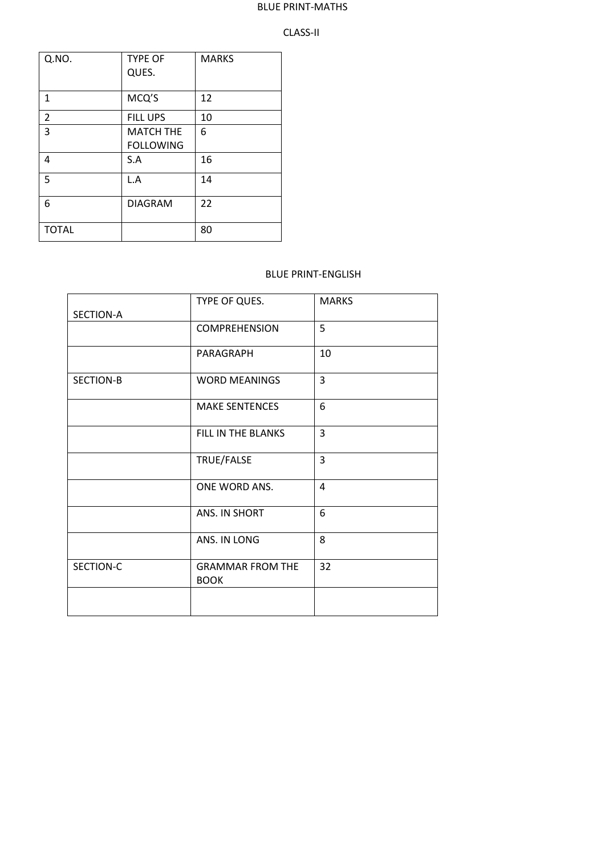#### BLUE PRINT-MATHS

#### CLASS-II

| Q.NO.          | <b>TYPE OF</b><br>QUES.              | <b>MARKS</b> |
|----------------|--------------------------------------|--------------|
| $\mathbf{1}$   | MCQ'S                                | 12           |
| $\overline{2}$ | <b>FILL UPS</b>                      | 10           |
| $\overline{3}$ | <b>MATCH THE</b><br><b>FOLLOWING</b> | 6            |
| 4              | S.A                                  | 16           |
| 5              | L.A                                  | 14           |
| 6              | <b>DIAGRAM</b>                       | 22           |
| <b>TOTAL</b>   |                                      | 80           |

#### BLUE PRINT-ENGLISH

|                  | TYPE OF QUES.                          | <b>MARKS</b> |
|------------------|----------------------------------------|--------------|
| <b>SECTION-A</b> |                                        |              |
|                  | <b>COMPREHENSION</b>                   | 5            |
|                  | PARAGRAPH                              | 10           |
| SECTION-B        | <b>WORD MEANINGS</b>                   | 3            |
|                  | <b>MAKE SENTENCES</b>                  | 6            |
|                  | FILL IN THE BLANKS                     | 3            |
|                  | TRUE/FALSE                             | 3            |
|                  | ONE WORD ANS.                          | 4            |
|                  | ANS. IN SHORT                          | 6            |
|                  | ANS. IN LONG                           | 8            |
| SECTION-C        | <b>GRAMMAR FROM THE</b><br><b>BOOK</b> | 32           |
|                  |                                        |              |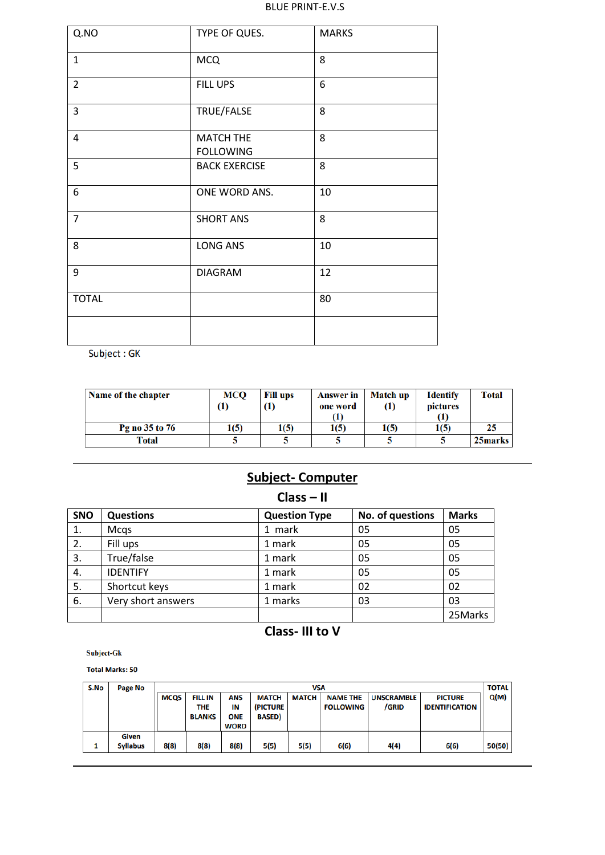#### BLUE PRINT-E.V.S

| Q.NO           | TYPE OF QUES.                        | <b>MARKS</b> |
|----------------|--------------------------------------|--------------|
| $\mathbf{1}$   | <b>MCQ</b>                           | 8            |
| $\overline{2}$ | FILL UPS                             | 6            |
| $\overline{3}$ | TRUE/FALSE                           | 8            |
| $\overline{4}$ | <b>MATCH THE</b><br><b>FOLLOWING</b> | 8            |
| 5              | <b>BACK EXERCISE</b>                 | 8            |
| 6              | ONE WORD ANS.                        | 10           |
| $\overline{7}$ | <b>SHORT ANS</b>                     | 8            |
| 8              | <b>LONG ANS</b>                      | 10           |
| 9              | <b>DIAGRAM</b>                       | 12           |
| <b>TOTAL</b>   |                                      | 80           |
|                |                                      |              |

Subject: GK

| Name of the chapter | <b>MCO</b><br>1) | <b>Fill ups</b><br>$\left(1\right)$ | <b>Answer</b> in<br>one word<br>(1) | <b>Match up</b><br>$\left(1\right)$ | <b>Identify</b><br>pictures<br>(1) | <b>Total</b> |
|---------------------|------------------|-------------------------------------|-------------------------------------|-------------------------------------|------------------------------------|--------------|
| Pg no 35 to 76      | 1(5)             | 1(5)                                | 1(5)                                | 1(5)                                | 1(5)                               | 25           |
| Total               |                  |                                     |                                     |                                     |                                    | 25marks      |

# **Subject- Computer**

## **Class – II**

| <b>SNO</b> | <b>Questions</b>        | <b>Question Type</b> | No. of questions | <b>Marks</b> |
|------------|-------------------------|----------------------|------------------|--------------|
| 1.         | Mcqs                    | 1 mark               | 05               | 05           |
| 2.         | Fill ups                | 1 mark               | 05               | 05           |
| 3.         | True/false              | 1 mark               |                  | 05           |
| 4.         | <b>IDENTIFY</b>         | 1 mark               | 05               | 05           |
| 5.         | Shortcut keys<br>1 mark |                      | 02               | 02           |
| 6.         | Very short answers      | 1 marks              | 03               | 03           |
|            |                         |                      |                  | 25Marks      |

## **Class- III to V**

Subject-Gk

**Total Marks: 50** 

| S.No | Page No                         | <b>VSA</b>  |                                        |                                        |                                          |              |                                     | <b>TOTAL</b>               |                                         |        |
|------|---------------------------------|-------------|----------------------------------------|----------------------------------------|------------------------------------------|--------------|-------------------------------------|----------------------------|-----------------------------------------|--------|
|      |                                 | <b>MCQS</b> | <b>FILL IN</b><br>THE<br><b>BLANKS</b> | ANS<br>IN<br><b>ONE</b><br><b>WORD</b> | <b>MATCH</b><br>(PICTURE<br><b>BASED</b> | <b>MATCH</b> | <b>NAME THE</b><br><b>FOLLOWING</b> | <b>UNSCRAMBLE</b><br>/GRID | <b>PICTURE</b><br><b>IDENTIFICATION</b> | Q(M)   |
|      | <b>Given</b><br><b>Syllabus</b> | 8(8)        | 8(8)                                   | 8(8)                                   | 5(5)                                     | 5(5)         | 6(6)                                | 4(4)                       | 6(6)                                    | 50(50) |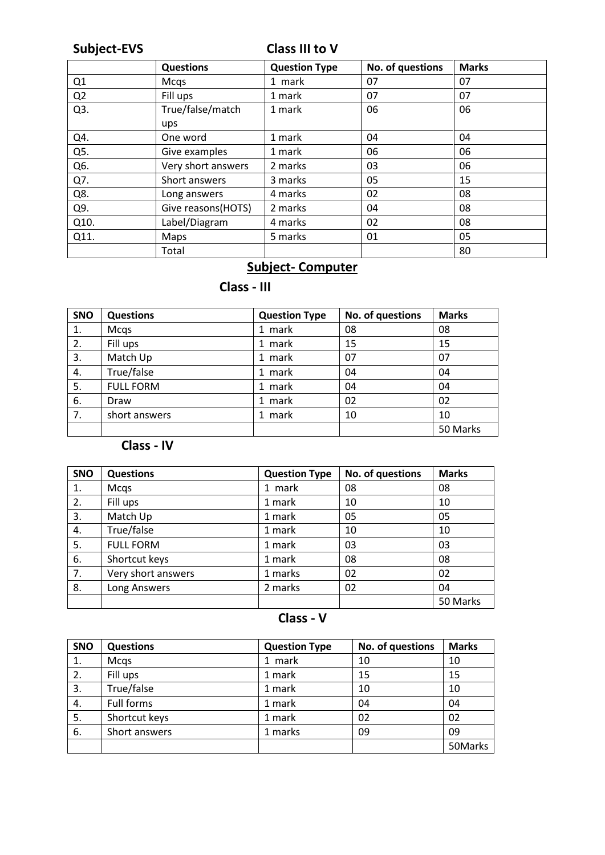# **Subject-EVS Class III to V**

|                | <b>Questions</b>    | <b>Question Type</b> | No. of questions | <b>Marks</b> |
|----------------|---------------------|----------------------|------------------|--------------|
| Q1             | Mcqs                | 1 mark               | 07               | 07           |
| Q <sub>2</sub> | Fill ups            | 1 mark               | 07               | 07           |
| Q3.            | True/false/match    | 1 mark               | 06               | 06           |
|                | ups                 |                      |                  |              |
| Q4.            | One word            | 1 mark               | 04               | 04           |
| Q5.            | Give examples       | 1 mark               | 06               | 06           |
| Q6.            | Very short answers  | 2 marks              | 03               | 06           |
| Q7.            | Short answers       | 3 marks              | 05               | 15           |
| Q8.            | Long answers        | 4 marks              | 02               | 08           |
| Q9.            | Give reasons (HOTS) | 2 marks              | 04               | 08           |
| Q10.           | Label/Diagram       | 4 marks              | 02               | 08           |
| Q11.           | Maps                | 5 marks              | 01               | 05           |
|                | Total               |                      |                  | 80           |

# **Subject- Computer**

# **Class - III**

| <b>SNO</b> | <b>Questions</b> | <b>Question Type</b> | No. of questions | <b>Marks</b> |
|------------|------------------|----------------------|------------------|--------------|
| 1.         | Mcqs             | 1 mark               | 08               | 08           |
| 2.         | Fill ups         | 1 mark               | 15               | 15           |
| 3.         | Match Up         | 1 mark               | 07               | 07           |
| 4.         | True/false       | 1 mark               | 04               | 04           |
| 5.         | <b>FULL FORM</b> | 1 mark               | 04               | 04           |
| 6.         | Draw             | 1 mark               | 02               | 02           |
| 7.         | short answers    | mark                 | 10               | 10           |
|            |                  |                      |                  | 50 Marks     |

# **Class - IV**

| SNO | <b>Questions</b>   | <b>Question Type</b> | No. of questions | <b>Marks</b> |
|-----|--------------------|----------------------|------------------|--------------|
| 1.  | Mcqs               | 1 mark               | 08               | 08           |
| 2.  | Fill ups           | 1 mark               | 10               | 10           |
| 3.  | Match Up           | 1 mark               | 05               | 05           |
| 4.  | True/false         | 1 mark               | 10               | 10           |
| 5.  | <b>FULL FORM</b>   | 1 mark               | 03               | 03           |
| 6.  | Shortcut keys      | 1 mark               | 08               | 08           |
| 7.  | Very short answers | 1 marks              | 02               | 02           |
| 8.  | Long Answers       | 2 marks              | 02               | 04           |
|     |                    |                      |                  | 50 Marks     |

# **Class - V**

| SNO | <b>Questions</b> | <b>Question Type</b> | No. of questions | <b>Marks</b> |
|-----|------------------|----------------------|------------------|--------------|
| 1.  | Mcqs             | 1 mark               | 10               | 10           |
| 2.  | Fill ups         | 1 mark               | 15               | 15           |
| 3.  | True/false       | 1 mark               | 10               | 10           |
| 4.  | Full forms       | 1 mark               | 04               | 04           |
| 5.  | Shortcut keys    | 1 mark               | 02               | 02           |
| 6.  | Short answers    | 1 marks              | 09               | 09           |
|     |                  |                      |                  | 50Marks      |